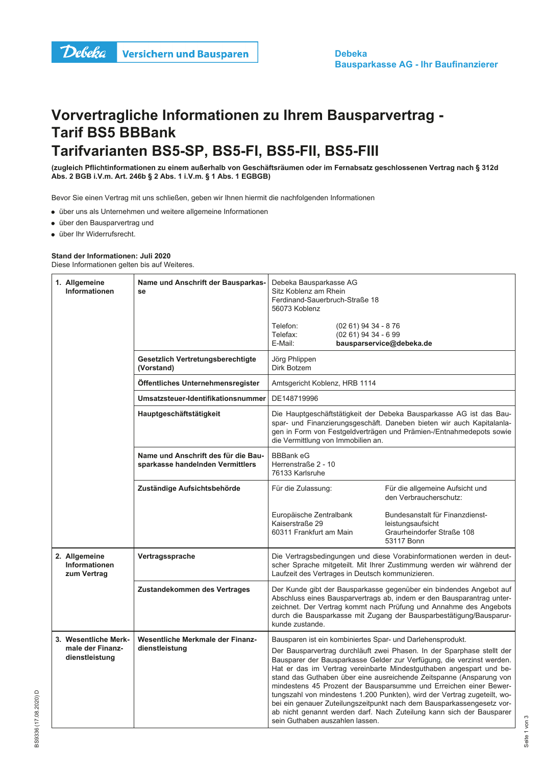## Vorvertragliche Informationen zu Ihrem Bausparvertrag -**Tarif BS5 BBBank** Tarifvarianten BS5-SP, BS5-FI, BS5-FII, BS5-FIII

(zugleich Pflichtinformationen zu einem außerhalb von Geschäftsräumen oder im Fernabsatz geschlossenen Vertrag nach § 312d Abs. 2 BGB i.V.m. Art. 246b § 2 Abs. 1 i.V.m. § 1 Abs. 1 EGBGB)

Bevor Sie einen Vertrag mit uns schließen, geben wir Ihnen hiermit die nachfolgenden Informationen

• über uns als Unternehmen und weitere allgemeine Informationen

- · über den Bausparvertrag und
- · über Ihr Widerrufsrecht.

## Stand der Informationen: Juli 2020 Diese Informationen gelten bis auf Weiteres.

Allgemeine Name und Anschrift der Bausparkas-Debeka Bausparkasse AG Informationen Sitz Koblenz am Rhein se Ferdinand-Sauerbruch-Straße 18 56073 Koblenz Telefon<sup>-</sup> (02 61) 94 34 - 8 76 Telefax:  $(0261)$  94 34 - 6 99  $F$ -Mail: bausparservice@debeka.de Jörg Phlippen Gesetzlich Vertretungsberechtigte (Vorstand) Dirk Botzem Öffentliches Unternehmensregister Amtsgericht Koblenz, HRB 1114 Umsatzsteuer-Identifikationsnummer DE148719996 Hauptgeschäftstätigkeit Die Hauptgeschäftstätigkeit der Debeka Bausparkasse AG ist das Bauspar- und Finanzierungsgeschäft. Daneben bieten wir auch Kapitalanlagen in Form von Festgeldverträgen und Prämien-/Entnahmedepots sowie die Vermittlung von Immobilien an. Name und Anschrift des für die Rau-**BBBank eG** sparkasse handelnden Vermittlers Herrenstraße 2 - 10 76133 Karlsruhe Zuständige Aufsichtsbehörde Für die Zulassung: Für die allgemeine Aufsicht und den Verbraucherschutz: Europäische Zentralbank Bundesanstalt für Finanzdienst-Kaiserstraße 29 leistungsaufsicht 60311 Frankfurt am Main Graurheindorfer Straße 108 53117 Bonn 2. Allgemeine Vertragssprache Die Vertragsbedingungen und diese Vorabinformationen werden in deut-Informationen scher Sprache mitgeteilt. Mit Ihrer Zustimmung werden wir während der zum Vertrag Laufzeit des Vertrages in Deutsch kommunizieren. Zustandekommen des Vertrages Der Kunde gibt der Bausparkasse gegenüber ein bindendes Angebot auf Abschluss eines Bausparvertrags ab, indem er den Bausparantrag unterzeichnet. Der Vertrag kommt nach Prüfung und Annahme des Angebots durch die Bausparkasse mit Zugang der Bausparbestätigung/Bausparurkunde zustande. 3. Wesentliche Merk-Wesentliche Merkmale der Finanz-Bausparen ist ein kombiniertes Spar- und Darlehensprodukt. male der Finanzdienstleistung Der Bausparvertrag durchläuft zwei Phasen. In der Sparphase stellt der dienstleistung Bausparer der Bausparkasse Gelder zur Verfügung, die verzinst werden. Hat er das im Vertrag vereinbarte Mindestguthaben angespart und bestand das Guthaben über eine ausreichende Zeitspanne (Ansparung von mindestens 45 Prozent der Bausparsumme und Erreichen einer Bewertungszahl von mindestens 1.200 Punkten), wird der Vertrag zugeteilt, wobei ein genauer Zuteilungszeitpunkt nach dem Bausparkassengesetz vorab nicht genannt werden darf. Nach Zuteilung kann sich der Bausparer sein Guthaben auszahlen lassen.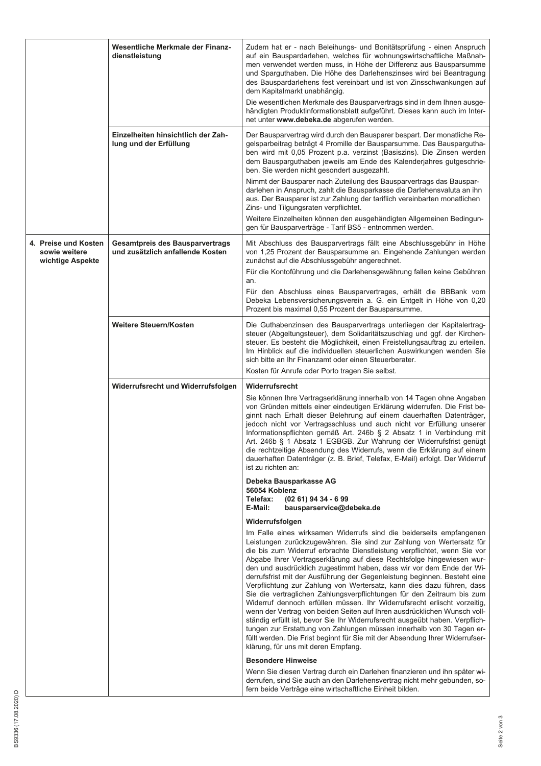|                                                           | Wesentliche Merkmale der Finanz-<br>dienstleistung                         | Zudem hat er - nach Beleihungs- und Bonitätsprüfung - einen Anspruch<br>auf ein Bauspardarlehen, welches für wohnungswirtschaftliche Maßnah-<br>men verwendet werden muss, in Höhe der Differenz aus Bausparsumme<br>und Sparguthaben. Die Höhe des Darlehenszinses wird bei Beantragung<br>des Bauspardarlehens fest vereinbart und ist von Zinsschwankungen auf<br>dem Kapitalmarkt unabhängig.<br>Die wesentlichen Merkmale des Bausparvertrags sind in dem Ihnen ausge-<br>händigten Produktinformationsblatt aufgeführt. Dieses kann auch im Inter-<br>net unter www.debeka.de abgerufen werden.                                                                                                                                                                                                                                                                                                                                                                                                                                                              |
|-----------------------------------------------------------|----------------------------------------------------------------------------|--------------------------------------------------------------------------------------------------------------------------------------------------------------------------------------------------------------------------------------------------------------------------------------------------------------------------------------------------------------------------------------------------------------------------------------------------------------------------------------------------------------------------------------------------------------------------------------------------------------------------------------------------------------------------------------------------------------------------------------------------------------------------------------------------------------------------------------------------------------------------------------------------------------------------------------------------------------------------------------------------------------------------------------------------------------------|
|                                                           | Einzelheiten hinsichtlich der Zah-<br>lung und der Erfüllung               | Der Bausparvertrag wird durch den Bausparer bespart. Der monatliche Re-<br>gelsparbeitrag beträgt 4 Promille der Bausparsumme. Das Bauspargutha-<br>ben wird mit 0,05 Prozent p.a. verzinst (Basiszins). Die Zinsen werden<br>dem Bausparguthaben jeweils am Ende des Kalenderjahres gutgeschrie-<br>ben. Sie werden nicht gesondert ausgezahlt.                                                                                                                                                                                                                                                                                                                                                                                                                                                                                                                                                                                                                                                                                                                   |
|                                                           |                                                                            | Nimmt der Bausparer nach Zuteilung des Bausparvertrags das Bauspar-<br>darlehen in Anspruch, zahlt die Bausparkasse die Darlehensvaluta an ihn<br>aus. Der Bausparer ist zur Zahlung der tariflich vereinbarten monatlichen<br>Zins- und Tilgungsraten verpflichtet.<br>Weitere Einzelheiten können den ausgehändigten Allgemeinen Bedingun-                                                                                                                                                                                                                                                                                                                                                                                                                                                                                                                                                                                                                                                                                                                       |
|                                                           |                                                                            | gen für Bausparverträge - Tarif BS5 - entnommen werden.                                                                                                                                                                                                                                                                                                                                                                                                                                                                                                                                                                                                                                                                                                                                                                                                                                                                                                                                                                                                            |
| 4. Preise und Kosten<br>sowie weitere<br>wichtige Aspekte | <b>Gesamtpreis des Bausparvertrags</b><br>und zusätzlich anfallende Kosten | Mit Abschluss des Bausparvertrags fällt eine Abschlussgebühr in Höhe<br>von 1,25 Prozent der Bausparsumme an. Eingehende Zahlungen werden<br>zunächst auf die Abschlussgebühr angerechnet.                                                                                                                                                                                                                                                                                                                                                                                                                                                                                                                                                                                                                                                                                                                                                                                                                                                                         |
|                                                           |                                                                            | Für die Kontoführung und die Darlehensgewährung fallen keine Gebühren<br>an.                                                                                                                                                                                                                                                                                                                                                                                                                                                                                                                                                                                                                                                                                                                                                                                                                                                                                                                                                                                       |
|                                                           |                                                                            | Für den Abschluss eines Bausparvertrages, erhält die BBBank vom<br>Debeka Lebensversicherungsverein a. G. ein Entgelt in Höhe von 0,20<br>Prozent bis maximal 0,55 Prozent der Bausparsumme.                                                                                                                                                                                                                                                                                                                                                                                                                                                                                                                                                                                                                                                                                                                                                                                                                                                                       |
|                                                           | Weitere Steuern/Kosten                                                     | Die Guthabenzinsen des Bausparvertrags unterliegen der Kapitalertrag-<br>steuer (Abgeltungsteuer), dem Solidaritätszuschlag und ggf. der Kirchen-<br>steuer. Es besteht die Möglichkeit, einen Freistellungsauftrag zu erteilen.<br>Im Hinblick auf die individuellen steuerlichen Auswirkungen wenden Sie<br>sich bitte an Ihr Finanzamt oder einen Steuerberater.                                                                                                                                                                                                                                                                                                                                                                                                                                                                                                                                                                                                                                                                                                |
|                                                           |                                                                            | Kosten für Anrufe oder Porto tragen Sie selbst.                                                                                                                                                                                                                                                                                                                                                                                                                                                                                                                                                                                                                                                                                                                                                                                                                                                                                                                                                                                                                    |
|                                                           | Widerrufsrecht und Widerrufsfolgen                                         | Widerrufsrecht<br>Sie können Ihre Vertragserklärung innerhalb von 14 Tagen ohne Angaben<br>von Gründen mittels einer eindeutigen Erklärung widerrufen. Die Frist be-<br>ginnt nach Erhalt dieser Belehrung auf einem dauerhaften Datenträger,<br>jedoch nicht vor Vertragsschluss und auch nicht vor Erfüllung unserer<br>Informationspflichten gemäß Art. 246b § 2 Absatz 1 in Verbindung mit<br>Art. 246b § 1 Absatz 1 EGBGB. Zur Wahrung der Widerrufsfrist genügt<br>die rechtzeitige Absendung des Widerrufs, wenn die Erklärung auf einem<br>dauerhaften Datenträger (z. B. Brief, Telefax, E-Mail) erfolgt. Der Widerruf<br>ist zu richten an:                                                                                                                                                                                                                                                                                                                                                                                                              |
|                                                           |                                                                            | Debeka Bausparkasse AG                                                                                                                                                                                                                                                                                                                                                                                                                                                                                                                                                                                                                                                                                                                                                                                                                                                                                                                                                                                                                                             |
|                                                           |                                                                            | 56054 Koblenz<br>Telefax:<br>$(0261)$ 94 34 - 6 99<br>E-Mail:<br>bausparservice@debeka.de                                                                                                                                                                                                                                                                                                                                                                                                                                                                                                                                                                                                                                                                                                                                                                                                                                                                                                                                                                          |
|                                                           |                                                                            |                                                                                                                                                                                                                                                                                                                                                                                                                                                                                                                                                                                                                                                                                                                                                                                                                                                                                                                                                                                                                                                                    |
|                                                           |                                                                            | Widerrufsfolgen<br>Im Falle eines wirksamen Widerrufs sind die beiderseits empfangenen<br>Leistungen zurückzugewähren. Sie sind zur Zahlung von Wertersatz für<br>die bis zum Widerruf erbrachte Dienstleistung verpflichtet, wenn Sie vor<br>Abgabe Ihrer Vertragserklärung auf diese Rechtsfolge hingewiesen wur-<br>den und ausdrücklich zugestimmt haben, dass wir vor dem Ende der Wi-<br>derrufsfrist mit der Ausführung der Gegenleistung beginnen. Besteht eine<br>Verpflichtung zur Zahlung von Wertersatz, kann dies dazu führen, dass<br>Sie die vertraglichen Zahlungsverpflichtungen für den Zeitraum bis zum<br>Widerruf dennoch erfüllen müssen. Ihr Widerrufsrecht erlischt vorzeitig,<br>wenn der Vertrag von beiden Seiten auf Ihren ausdrücklichen Wunsch voll-<br>ständig erfüllt ist, bevor Sie Ihr Widerrufsrecht ausgeübt haben. Verpflich-<br>tungen zur Erstattung von Zahlungen müssen innerhalb von 30 Tagen er-<br>füllt werden. Die Frist beginnt für Sie mit der Absendung Ihrer Widerrufser-<br>klärung, für uns mit deren Empfang. |
|                                                           |                                                                            | <b>Besondere Hinweise</b>                                                                                                                                                                                                                                                                                                                                                                                                                                                                                                                                                                                                                                                                                                                                                                                                                                                                                                                                                                                                                                          |
|                                                           |                                                                            | Wenn Sie diesen Vertrag durch ein Darlehen finanzieren und ihn später wi-<br>derrufen, sind Sie auch an den Darlehensvertrag nicht mehr gebunden, so-<br>fern beide Verträge eine wirtschaftliche Einheit bilden.                                                                                                                                                                                                                                                                                                                                                                                                                                                                                                                                                                                                                                                                                                                                                                                                                                                  |